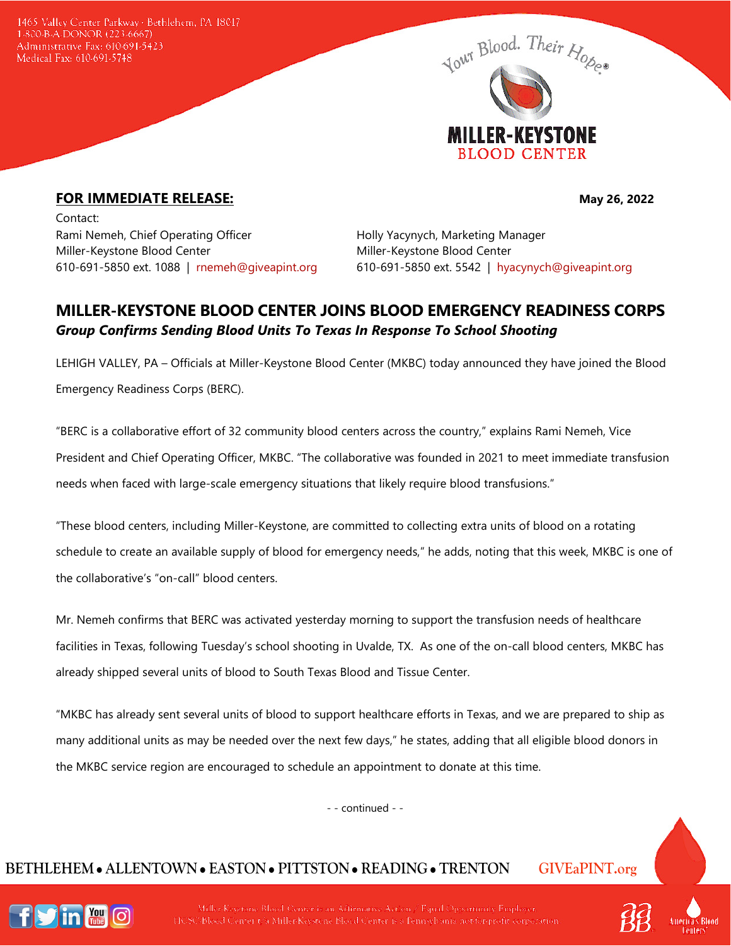1465 Valley Center Parkway · Bethlehem, PA 18017 1-800-B-A-DONOR (223-6667) Administrative Fax: 610-691-5423 Medical Fax: 610-691-5748



## **FOR IMMEDIATE RELEASE:** May 26, 2022

Contact: Rami Nemeh, Chief Operating Officer **Holly Yacynych, Marketing Manager** Miller-Keystone Blood Center entitled and Miller-Keystone Blood Center

610-691-5850 ext. 1088 | [rnemeh@giveapint.org](mailto:rnemeh@giveapint.org) 610-691-5850 ext. 5542 | [hyacynych@giveapint.org](mailto:hyacynych@giveapint.org)

## **MILLER-KEYSTONE BLOOD CENTER JOINS BLOOD EMERGENCY READINESS CORPS** *Group Confirms Sending Blood Units To Texas In Response To School Shooting*

LEHIGH VALLEY, PA – Officials at Miller-Keystone Blood Center (MKBC) today announced they have joined the Blood Emergency Readiness Corps (BERC).

"BERC is a collaborative effort of 32 community blood centers across the country," explains Rami Nemeh, Vice President and Chief Operating Officer, MKBC. "The collaborative was founded in 2021 to meet immediate transfusion needs when faced with large-scale emergency situations that likely require blood transfusions."

"These blood centers, including Miller-Keystone, are committed to collecting extra units of blood on a rotating schedule to create an available supply of blood for emergency needs," he adds, noting that this week, MKBC is one of the collaborative's "on-call" blood centers.

Mr. Nemeh confirms that BERC was activated yesterday morning to support the transfusion needs of healthcare facilities in Texas, following Tuesday's school shooting in Uvalde, TX. As one of the on-call blood centers, MKBC has already shipped several units of blood to South Texas Blood and Tissue Center.

"MKBC has already sent several units of blood to support healthcare efforts in Texas, and we are prepared to ship as many additional units as may be needed over the next few days," he states, adding that all eligible blood donors in the MKBC service region are encouraged to schedule an appointment to donate at this time.

- - continued - -

# **BETHLEHEM ALLENTOWN EASTON PITTSTON READING TRENTON GIVEaPINT.org**



Miller-Keystone Blood Center is an Affirmative Action / Equal Opportunity Employer HCSC/Blood Center t/a Miller Keystone Blood Center is a Pennsylvania not-for-profit corporation